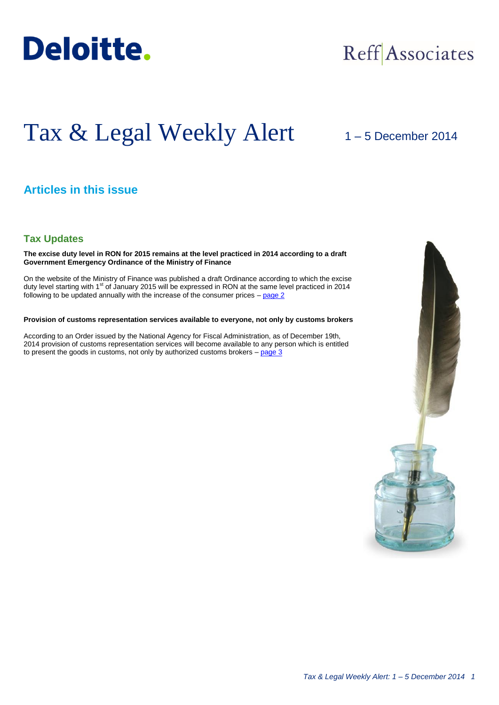

## Reff Associates

# Tax & Legal Weekly Alert

## 1 – 5 December 2014

## **Articles in this issue**

### **Tax Updates**

**The excise duty level in RON for 2015 remains at the level practiced in 2014 according to a draft Government Emergency Ordinance of the Ministry of Finance**

On the website of the Ministry of Finance was published a draft Ordinance according to which the excise duty level starting with 1<sup>st</sup> of January 2015 will be expressed in RON at the same level practiced in 2014 following to be updated annually with the increase of the consumer prices – [page 2](#page-1-0)

#### **Provision of customs representation services available to everyone, not only by customs brokers**

According to an Order issued by the National Agency for Fiscal Administration, as of December 19th, 2014 provision of customs representation services will become available to any person which is entitled to present the goods in customs, not only by authorized customs brokers  $-$  page  $3$ 

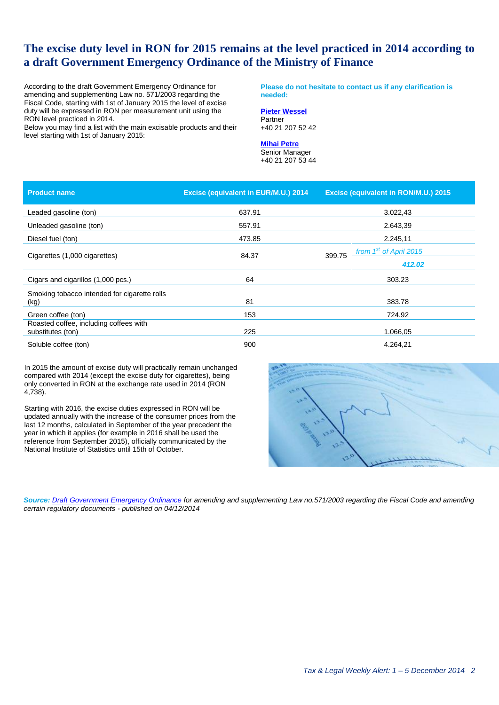## <span id="page-1-0"></span>**The excise duty level in RON for 2015 remains at the level practiced in 2014 according to a draft Government Emergency Ordinance of the Ministry of Finance**

According to the draft Government Emergency Ordinance for amending and supplementing Law no. 571/2003 regarding the Fiscal Code, starting with 1st of January 2015 the level of excise duty will be expressed in RON per measurement unit using the RON level practiced in 2014.

Below you may find a list with the main excisable products and their level starting with 1st of January 2015:

**Please do not hesitate to contact us if any clarification is needed:**

#### **[Pieter Wessel](mailto:pwessel@deloittece.com)** Partner

+40 21 207 52 42

## **[Mihai Petre](mailto:mipetre@deloittece.com)**

Senior Manager +40 21 207 53 44

| <b>Product name</b>                                         | Excise (equivalent in EUR/M.U.) 2014 | <b>Excise (equivalent in RON/M.U.) 2015</b>  |
|-------------------------------------------------------------|--------------------------------------|----------------------------------------------|
| Leaded gasoline (ton)                                       | 637.91                               | 3.022,43                                     |
| Unleaded gasoline (ton)                                     | 557.91                               | 2.643,39                                     |
| Diesel fuel (ton)                                           | 473.85                               | 2.245,11                                     |
| Cigarettes (1,000 cigarettes)                               | 84.37                                | from 1 <sup>st</sup> of April 2015<br>399.75 |
|                                                             |                                      | 412.02                                       |
| Cigars and cigarillos (1,000 pcs.)                          | 64                                   | 303.23                                       |
| Smoking tobacco intended for cigarette rolls                |                                      |                                              |
| (kg)                                                        | 81                                   | 383.78                                       |
| Green coffee (ton)                                          | 153                                  | 724.92                                       |
| Roasted coffee, including coffees with<br>substitutes (ton) | 225                                  | 1.066,05                                     |
| Soluble coffee (ton)                                        | 900                                  | 4.264,21                                     |

In 2015 the amount of excise duty will practically remain unchanged compared with 2014 (except the excise duty for cigarettes), being only converted in RON at the exchange rate used in 2014 (RON 4,738).

Starting with 2016, the excise duties expressed in RON will be updated annually with the increase of the consumer prices from the last 12 months, calculated in September of the year precedent the year in which it applies (for example in 2016 shall be used the reference from September 2015), officially communicated by the National Institute of Statistics until 15th of October.



*Source: [Draft Government Emergency Ordinance](http://discutii.mfinante.ro/static/10/Mfp/transparenta/OUG4dec2014.doc) for amending and supplementing Law no.571/2003 regarding the Fiscal Code and amending certain regulatory documents - published on 04/12/2014*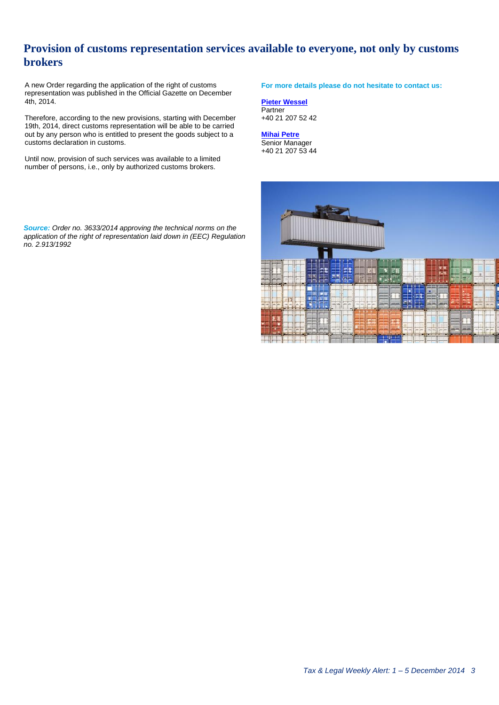## <span id="page-2-0"></span>**Provision of customs representation services available to everyone, not only by customs brokers**

A new Order regarding the application of the right of customs representation was published in the Official Gazette on December 4th, 2014.

Therefore, according to the new provisions, starting with December 19th, 2014, direct customs representation will be able to be carried out by any person who is entitled to present the goods subject to a customs declaration in customs.

Until now, provision of such services was available to a limited number of persons, i.e., only by authorized customs brokers.

*Source: Order no. 3633/2014 approving the technical norms on the application of the right of representation laid down in (EEC) Regulation no. 2.913/1992*

**For more details please do not hesitate to contact us:**

**[Pieter Wessel](mailto:pwessel@deloittece.com)** Partner +40 21 207 52 42

**[Mihai Petre](mailto:mipetre@deloittece.com)** Senior Manager +40 21 207 53 44